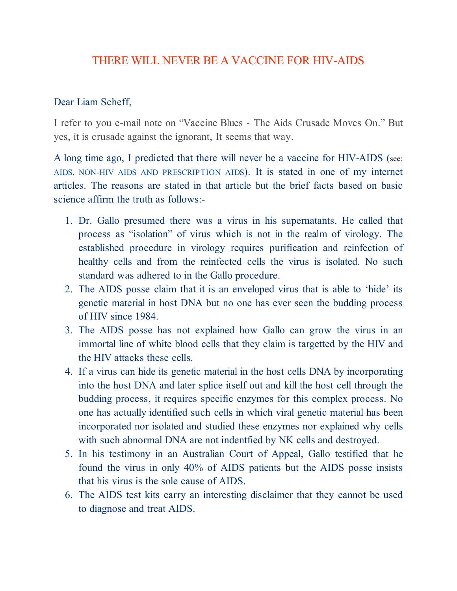## THERE WILL NEVER BE A VACCINE FOR HIV-AIDS

## Dear Liam Scheff,

I refer to you e-mail note on "Vaccine Blues - The Aids Crusade Moves On." But yes, it is crusade against the ignorant, It seems that way.

A long time ago, I predicted that there will never be a vaccine for HIV-AIDS (see: AIDS, NON-HIV AIDS AND PRESCRIPTION AIDS). It is stated in one of my internet articles. The reasons are stated in that article but the brief facts based on basic science affirm the truth as follows:-

- 1. Dr. Gallo presumed there was a virus in his supernatants. He called that process as "isolation" of virus which is not in the realm of virology. The established procedure in virology requires purification and reinfection of healthy cells and from the reinfected cells the virus is isolated. No such standard was adhered to in the Gallo procedure.
- 2. The AIDS posse claim that it is an enveloped virus that is able to 'hide' its genetic material in host DNA but no one has ever seen the budding process of HIV since 1984.
- 3. The AIDS posse has not explained how Gallo can grow the virus in an immortal line of white blood cells that they claim is targetted by the HIV and the HIV attacks these cells.
- 4. If a virus can hide its genetic material in the host cells DNA by incorporating into the host DNA and later splice itself out and kill the host cell through the budding process, it requires specific enzymes for this complex process. No one has actually identified such cells in which viral genetic material has been incorporated nor isolated and studied these enzymes nor explained why cells with such abnormal DNA are not indentfied by NK cells and destroyed.
- 5. In his testimony in an Australian Court of Appeal, Gallo testified that he found the virus in only 40% of AIDS patients but the AIDS posse insists that his virus is the sole cause of AIDS.
- 6. The AIDS test kits carry an interesting disclaimer that they cannot be used to diagnose and treat AIDS.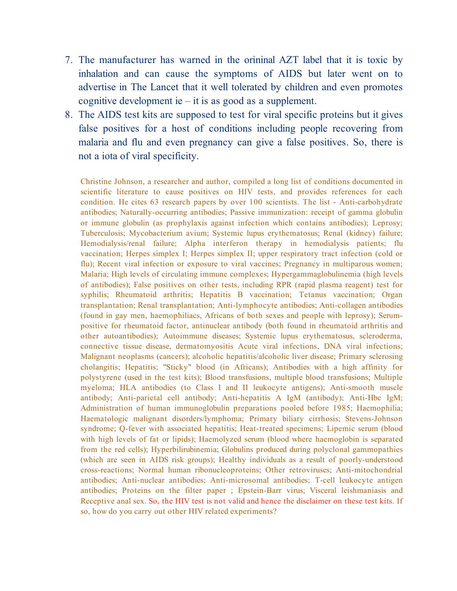- 7. The manufacturer has warned in the orininal AZT label that it is toxic by inhalation and can cause the symptoms of AIDS but later went on to advertise in The Lancet that it well tolerated by children and even promotes cognitive development ie  $-$  it is as good as a supplement.
- 8. The AIDS test kits are supposed to test for viral specific proteins but it gives false positives for a host of conditions including people recovering from malaria and flu and even pregnancy can give a false positives. So, there is not a iota of viral specificity.

Christine Johnson, a researcher and author, compiled a long list of conditions documented in scientific literature to cause positives on HIV tests, and provides references for each condition. He cites 63 research papers by over 100 scientists. The list - Anti-carbohydrate antibodies; Naturally-occurring antibodies; Passive immunization: receipt of gamma globulin or immune globulin (as prophylaxis against infection which contains antibodies); Leprosy; Tuberculosis; Mycobacterium avium; Systemic lupus erythematosus; Renal (kidney) failure; Hemodialysis/renal failure; Alpha interferon therapy in hemodialysis patients; flu vaccination; Herpes simplex I; Herpes simplex II; upper respiratory tract infection (cold or flu); Recent viral infection or exposure to viral vaccines; Pregnancy in multiparous women; Malaria; High levels of circulating immune complexes; Hypergammaglobulinemia (high levels of antibodies); False positives on other tests, including RPR (rapid plasma reagent) test for syphilis; Rheumatoid arthritis; Hepatitis B vaccination; Tetanus vaccination; Organ transplantation; Renal transplantation; Anti-lymphocyte antibodies; Anti-collagen antibodies (found in gay men, haemophiliacs, Africans of both sexes and people with leprosy); Serumpositive for rheumatoid factor, antinuclear antibody (both found in rheumatoid arthritis and other autoantibodies); Autoimmune diseases; Systemic lupus erythematosus, scleroderma, connective tissue disease, dermatomyositis Acute viral infections, DNA viral infections; Malignant neoplasms (cancers); alcoholic hepatitis/alcoholic liver disease; Primary sclerosing cholangitis; Hepatitis; "Sticky" blood (in Africans); Antibodies with a high affinity for polystyrene (used in the test kits); Blood transfusions, multiple blood transfusions; Multiple myeloma; HLA antibodies (to Class I and II leukocyte antigens); Anti-smooth muscle antibody; Anti-parietal cell antibody; Anti-hepatitis A IgM (antibody); Anti-Hbc IgM; Administration of human immunoglobulin preparations pooled before 1985; Haemophilia; Haematologic malignant disorders/lymphoma; Primary biliary cirrhosis; Stevens-Johnson syndrome; Q-fever with associated hepatitis; Heat-treated specimens; Lipemic serum (blood with high levels of fat or lipids); Haemolyzed serum (blood where haemoglobin is separated from the red cells); Hyperbilirubinemia; Globulins produced during polyclonal gammopathies (which are seen in AIDS risk groups); Healthy individuals as a result of poorly-understood cross-reactions; Normal human ribonucleoproteins; Other retroviruses; Anti-mitochondrial antibodies; Anti-nuclear antibodies; Anti-microsomal antibodies; T-cell leukocyte antigen antibodies; Proteins on the filter paper ; Epstein-Barr virus; Visceral leishmaniasis and Receptive anal sex. So, the HIV test is not valid and hence the disclaimer on these test kits. If so, how do you carry out other HIV related experiments?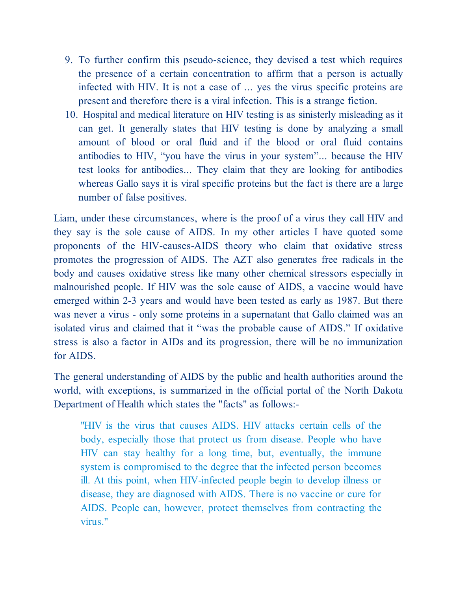- 9. To further confirm this pseudo-science, they devised a test which requires the presence of a certain concentration to affirm that a person is actually infected with HIV. It is not a case of ... yes the virus specific proteins are present and therefore there is a viral infection. This is a strange fiction.
- 10. Hospital and medical literature on HIV testing is as sinisterly misleading as it can get. It generally states that HIV testing is done by analyzing a small amount of blood or oral fluid and if the blood or oral fluid contains antibodies to HIV, "you have the virus in your system"... because the HIV test looks for antibodies... They claim that they are looking for antibodies whereas Gallo says it is viral specific proteins but the fact is there are a large number of false positives.

Liam, under these circumstances, where is the proof of a virus they call HIV and they say is the sole cause of AIDS. In my other articles I have quoted some proponents of the HIV-causes-AIDS theory who claim that oxidative stress promotes the progression of AIDS. The AZT also generates free radicals in the body and causes oxidative stress like many other chemical stressors especially in malnourished people. If HIV was the sole cause of AIDS, a vaccine would have emerged within 2-3 years and would have been tested as early as 1987. But there was never a virus - only some proteins in a supernatant that Gallo claimed was an isolated virus and claimed that it "was the probable cause of AIDS." If oxidative stress is also a factor in AIDs and its progression, there will be no immunization for AIDS.

The general understanding of AIDS by the public and health authorities around the world, with exceptions, is summarized in the official portal of the North Dakota Department of Health which states the "facts" as follows:-

"HIV is the virus that causes AIDS. HIV attacks certain cells of the body, especially those that protect us from disease. People who have HIV can stay healthy for a long time, but, eventually, the immune system is compromised to the degree that the infected person becomes ill. At this point, when HIV-infected people begin to develop illness or disease, they are diagnosed with AIDS. There is no vaccine or cure for AIDS. People can, however, protect themselves from contracting the virus."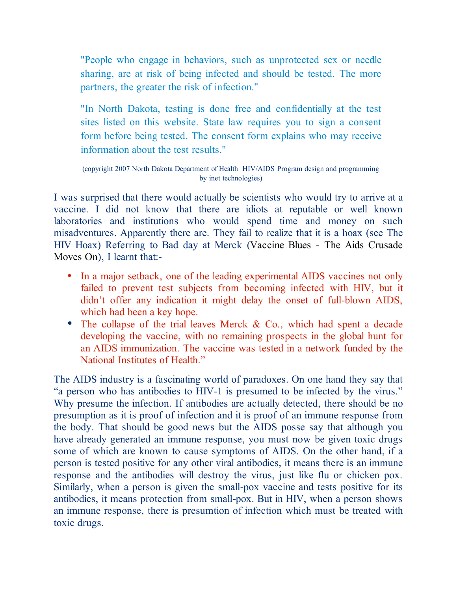"People who engage in behaviors, such as unprotected sex or needle sharing, are at risk of being infected and should be tested. The more partners, the greater the risk of infection."

"In North Dakota, testing is done free and confidentially at the test sites listed on this website. State law requires you to sign a consent form before being tested. The consent form explains who may receive information about the test results."

(copyright 2007 North Dakota Department of Health HIV/AIDS Program design and programming by inet technologies)

I was surprised that there would actually be scientists who would try to arrive at a vaccine. I did not know that there are idiots at reputable or well known laboratories and institutions who would spend time and money on such misadventures. Apparently there are. They fail to realize that it is a hoax (see The HIV Hoax) Referring to Bad day at Merck (Vaccine Blues - The Aids Crusade Moves On), I learnt that:-

- In a major setback, one of the leading experimental AIDS vaccines not only failed to prevent test subjects from becoming infected with HIV, but it didn't offer any indication it might delay the onset of full-blown AIDS, which had been a key hope.
- The collapse of the trial leaves Merck & Co., which had spent a decade developing the vaccine, with no remaining prospects in the global hunt for an AIDS immunization. The vaccine was tested in a network funded by the National Institutes of Health."

The AIDS industry is a fascinating world of paradoxes. On one hand they say that "a person who has antibodies to HIV-1 is presumed to be infected by the virus." Why presume the infection. If antibodies are actually detected, there should be no presumption as it is proof of infection and it is proof of an immune response from the body. That should be good news but the AIDS posse say that although you have already generated an immune response, you must now be given toxic drugs some of which are known to cause symptoms of AIDS. On the other hand, if a person is tested positive for any other viral antibodies, it means there is an immune response and the antibodies will destroy the virus, just like flu or chicken pox. Similarly, when a person is given the small-pox vaccine and tests positive for its antibodies, it means protection from small-pox. But in HIV, when a person shows an immune response, there is presumtion of infection which must be treated with toxic drugs.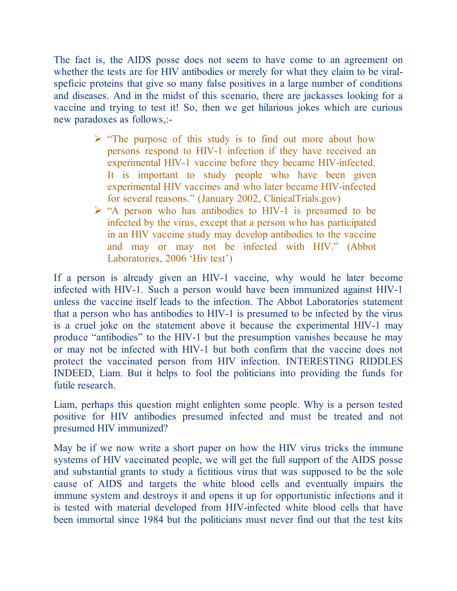The fact is, the AIDS posse does not seem to have come to an agreement on whether the tests are for HIV antibodies or merely for what they claim to be viralspeficic proteins that give so many false positives in a large number of conditions and diseases. And in the midst of this scenario, there are jackasses looking for a vaccine and trying to test it! So, then we get hilarious jokes which are curious new paradoxes as follows,:-

- $\triangleright$  "The purpose of this study is to find out more about how persons respond to HIV-1 infection if they have received an experimental HIV-1 vaccine before they became HIV-infected. It is important to study people who have been given experimental HIV vaccines and who later became HIV-infected for several reasons." (January 2002, ClinicalTrials.gov)
- $\triangleright$  "A person who has antibodies to HIV-1 is presumed to be infected by the virus, except that a person who has participated in an HIV vaccine study may develop antibodies to the vaccine and may or may not be infected with HIV." (Abbot Laboratories, 2006 'Hiv test')

If a person is already given an HIV-1 vaccine, why would he later become infected with HIV-1. Such a person would have been immunized against HIV-1 unless the vaccine itself leads to the infection. The Abbot Laboratories statement that a person who has antibodies to HIV-1 is presumed to be infected by the virus is a cruel joke on the statement above it because the experimental HIV-1 may produce "antibodies" to the HIV-1 but the presumption vanishes because he may or may not be infected with HIV-1 but both confirm that the vaccine does not protect the vaccinated person from HIV infection. INTERESTING RIDDLES INDEED, Liam. But it helps to fool the politicians into providing the funds for futile research.

Liam, perhaps this question might enlighten some people. Why is a person tested positive for HIV antibodies presumed infected and must be treated and not presumed HIV immunized?

May be if we now write a short paper on how the HIV virus tricks the immune systems of HIV vaccinated people, we will get the full support of the AIDS posse and substantial grants to study a fictitious virus that was supposed to be the sole cause of AIDS and targets the white blood cells and eventually impairs the immune system and destroys it and opens it up for opportunistic infections and it is tested with material developed from HIV-infected white blood cells that have been immortal since 1984 but the politicians must never find out that the test kits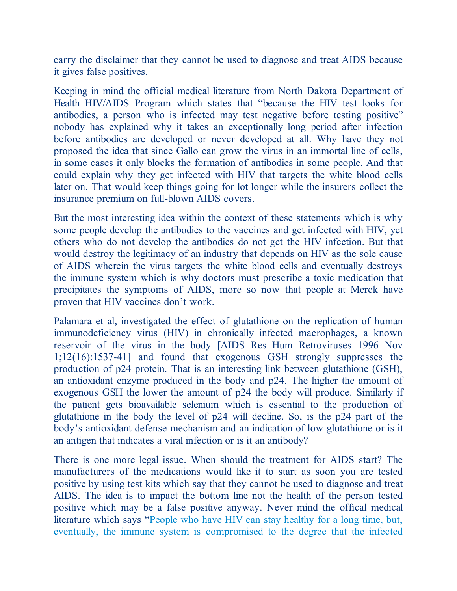carry the disclaimer that they cannot be used to diagnose and treat AIDS because it gives false positives.

Keeping in mind the official medical literature from North Dakota Department of Health HIV/AIDS Program which states that "because the HIV test looks for antibodies, a person who is infected may test negative before testing positive" nobody has explained why it takes an exceptionally long period after infection before antibodies are developed or never developed at all. Why have they not proposed the idea that since Gallo can grow the virus in an immortal line of cells, in some cases it only blocks the formation of antibodies in some people. And that could explain why they get infected with HIV that targets the white blood cells later on. That would keep things going for lot longer while the insurers collect the insurance premium on full-blown AIDS covers.

But the most interesting idea within the context of these statements which is why some people develop the antibodies to the vaccines and get infected with HIV, yet others who do not develop the antibodies do not get the HIV infection. But that would destroy the legitimacy of an industry that depends on HIV as the sole cause of AIDS wherein the virus targets the white blood cells and eventually destroys the immune system which is why doctors must prescribe a toxic medication that precipitates the symptoms of AIDS, more so now that people at Merck have proven that HIV vaccines don't work.

Palamara et al, investigated the effect of glutathione on the replication of human immunodeficiency virus (HIV) in chronically infected macrophages, a known reservoir of the virus in the body [AIDS Res Hum Retroviruses 1996 Nov 1;12(16):1537-41] and found that exogenous GSH strongly suppresses the production of p24 protein. That is an interesting link between glutathione (GSH), an antioxidant enzyme produced in the body and p24. The higher the amount of exogenous GSH the lower the amount of p24 the body will produce. Similarly if the patient gets bioavailable selenium which is essential to the production of glutathione in the body the level of p24 will decline. So, is the p24 part of the body's antioxidant defense mechanism and an indication of low glutathione or is it an antigen that indicates a viral infection or is it an antibody?

There is one more legal issue. When should the treatment for AIDS start? The manufacturers of the medications would like it to start as soon you are tested positive by using test kits which say that they cannot be used to diagnose and treat AIDS. The idea is to impact the bottom line not the health of the person tested positive which may be a false positive anyway. Never mind the offical medical literature which says "People who have HIV can stay healthy for a long time, but, eventually, the immune system is compromised to the degree that the infected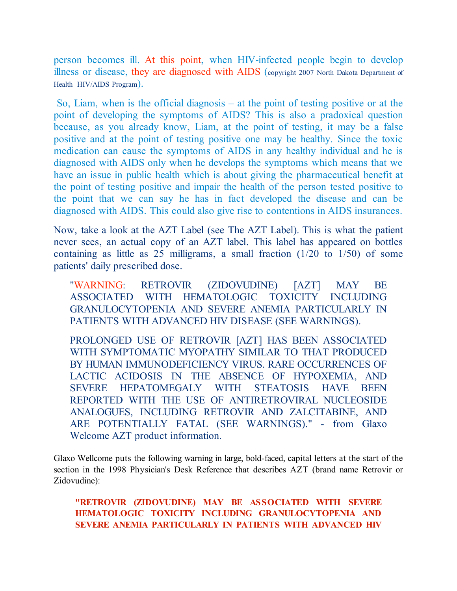person becomes ill. At this point, when HIV-infected people begin to develop illness or disease, they are diagnosed with AIDS (copyright 2007 North Dakota Department of Health HIV/AIDS Program).

So, Liam, when is the official diagnosis – at the point of testing positive or at the point of developing the symptoms of AIDS? This is also a pradoxical question because, as you already know, Liam, at the point of testing, it may be a false positive and at the point of testing positive one may be healthy. Since the toxic medication can cause the symptoms of AIDS in any healthy individual and he is diagnosed with AIDS only when he develops the symptoms which means that we have an issue in public health which is about giving the pharmaceutical benefit at the point of testing positive and impair the health of the person tested positive to the point that we can say he has in fact developed the disease and can be diagnosed with AIDS. This could also give rise to contentions in AIDS insurances.

Now, take a look at the AZT Label (see The AZT Label). This is what the patient never sees, an actual copy of an AZT label. This label has appeared on bottles containing as little as  $25$  milligrams, a small fraction  $(1/20 \text{ to } 1/50)$  of some patients' daily prescribed dose.

"WARNING: RETROVIR (ZIDOVUDINE) [AZT] MAY BE ASSOCIATED WITH HEMATOLOGIC TOXICITY INCLUDING GRANULOCYTOPENIA AND SEVERE ANEMIA PARTICULARLY IN PATIENTS WITH ADVANCED HIV DISEASE (SEE WARNINGS).

PROLONGED USE OF RETROVIR [AZT] HAS BEEN ASSOCIATED WITH SYMPTOMATIC MYOPATHY SIMILAR TO THAT PRODUCED BY HUMAN IMMUNODEFICIENCY VIRUS. RARE OCCURRENCES OF LACTIC ACIDOSIS IN THE ABSENCE OF HYPOXEMIA, AND SEVERE HEPATOMEGALY WITH STEATOSIS HAVE BEEN REPORTED WITH THE USE OF ANTIRETROVIRAL NUCLEOSIDE ANALOGUES, INCLUDING RETROVIR AND ZALCITABINE, AND ARE POTENTIALLY FATAL (SEE WARNINGS)." - from Glaxo Welcome AZT product information.

Glaxo Wellcome puts the following warning in large, bold-faced, capital letters at the start of the section in the 1998 Physician's Desk Reference that describes AZT (brand name Retrovir or Zidovudine):

**"RETROVIR (ZIDOVUDINE) MAY BE ASSOCIATED WITH SEVERE HEMATOLOGIC TOXICITY INCLUDING GRANULOCYTOPENIA AND SEVERE ANEMIA PARTICULARLY IN PATIENTS WITH ADVANCED HIV**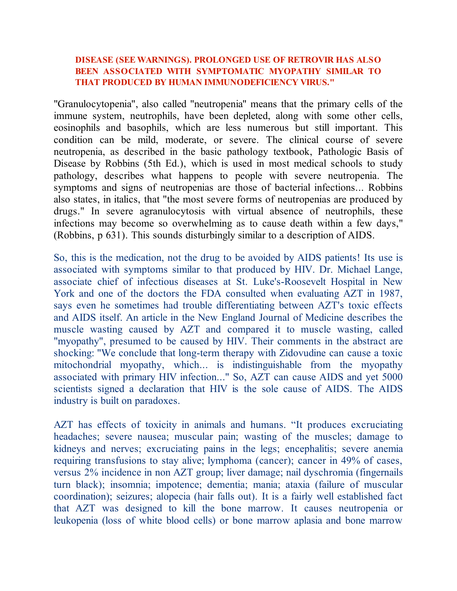## **DISEASE (SEE WARNINGS). PROLONGED USE OF RETROVIR HAS ALSO BEEN ASSOCIATED WITH SYMPTOMATIC MYOPATHY SIMILAR TO THAT PRODUCED BY HUMAN IMMUNODEFICIENCY VIRUS."**

"Granulocytopenia", also called "neutropenia" means that the primary cells of the immune system, neutrophils, have been depleted, along with some other cells, eosinophils and basophils, which are less numerous but still important. This condition can be mild, moderate, or severe. The clinical course of severe neutropenia, as described in the basic pathology textbook, Pathologic Basis of Disease by Robbins (5th Ed.), which is used in most medical schools to study pathology, describes what happens to people with severe neutropenia. The symptoms and signs of neutropenias are those of bacterial infections... Robbins also states, in italics, that "the most severe forms of neutropenias are produced by drugs." In severe agranulocytosis with virtual absence of neutrophils, these infections may become so overwhelming as to cause death within a few days," (Robbins, p 631). This sounds disturbingly similar to a description of AIDS.

So, this is the medication, not the drug to be avoided by AIDS patients! Its use is associated with symptoms similar to that produced by HIV. Dr. Michael Lange, associate chief of infectious diseases at St. Luke's-Roosevelt Hospital in New York and one of the doctors the FDA consulted when evaluating AZT in 1987, says even he sometimes had trouble differentiating between AZT's toxic effects and AIDS itself. An article in the New England Journal of Medicine describes the muscle wasting caused by AZT and compared it to muscle wasting, called "myopathy", presumed to be caused by HIV. Their comments in the abstract are shocking: "We conclude that long-term therapy with Zidovudine can cause a toxic mitochondrial myopathy, which... is indistinguishable from the myopathy associated with primary HIV infection..." So, AZT can cause AIDS and yet 5000 scientists signed a declaration that HIV is the sole cause of AIDS. The AIDS industry is built on paradoxes.

AZT has effects of toxicity in animals and humans. "It produces excruciating headaches; severe nausea; muscular pain; wasting of the muscles; damage to kidneys and nerves; excruciating pains in the legs; encephalitis; severe anemia requiring transfusions to stay alive; lymphoma (cancer); cancer in 49% of cases, versus 2% incidence in non AZT group; liver damage; nail dyschromia (fingernails turn black); insomnia; impotence; dementia; mania; ataxia (failure of muscular coordination); seizures; alopecia (hair falls out). It is a fairly well established fact that AZT was designed to kill the bone marrow. It causes neutropenia or leukopenia (loss of white blood cells) or bone marrow aplasia and bone marrow